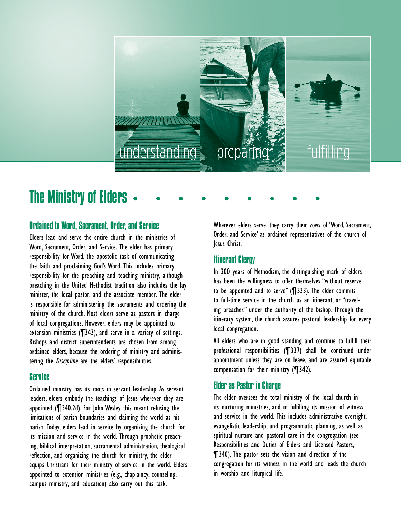

# The Ministry of Elders

### Ordained to Word, Sacrament, Order, and Service

Elders lead and serve the entire church in the ministries of Word, Sacrament, Order, and Service. The elder has primary responsibility for Word, the apostolic task of communicating the faith and proclaiming God's Word. This includes primary responsibility for the preaching and teaching ministry, although preaching in the United Methodist tradition also includes the lay minister, the local pastor, and the associate member. The elder is responsible for administering the sacraments and ordering the ministry of the church. Most elders serve as pastors in charge of local congregations. However, elders may be appointed to extension ministries (¶343), and serve in a variety of settings. Bishops and district superintendents are chosen from among ordained elders, because the ordering of ministry and administering the *Discipline* are the elders' responsibilities.

#### Service

Ordained ministry has its roots in servant leadership. As servant leaders, elders embody the teachings of Jesus wherever they are appointed (¶340.2d). For John Wesley this meant refusing the limitations of parish boundaries and claiming the world as his parish. Today, elders lead in service by organizing the church for its mission and service in the world. Through prophetic preaching, biblical interpretation, sacramental administration, theological reflection, and organizing the church for ministry, the elder equips Christians for their ministry of service in the world. Elders appointed to extension ministries (e.g., chaplaincy, counseling, campus ministry, and education) also carry out this task.

Wherever elders serve, they carry their vows of 'Word, Sacrament, Order, and Service' as ordained representatives of the church of Jesus Christ.

#### Itinerant Clergy

In 200 years of Methodism, the distinguishing mark of elders has been the willingness to offer themselves "without reserve to be appointed and to serve" (¶333). The elder commits to full-time service in the church as an itinerant, or "traveling preacher," under the authority of the bishop. Through the itineracy system, the church assures pastoral leadership for every local congregation.

All elders who are in good standing and continue to fulfill their professional responsibilities (¶337) shall be continued under appointment unless they are on leave, and are assured equitable compensation for their ministry (¶342).

## Elder as Pastor in Charge

The elder oversees the total ministry of the local church in its nurturing ministries, and in fulfilling its mission of witness and service in the world. This includes administrative oversight, evangelistic leadership, and programmatic planning, as well as spiritual nurture and pastoral care in the congregation (see Responsibilities and Duties of Elders and Licensed Pastors, ¶340). The pastor sets the vision and direction of the congregation for its witness in the world and leads the church in worship and liturgical life.